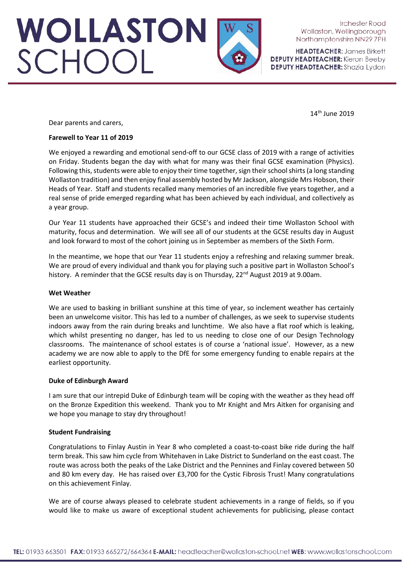**HEADTEACHER: James Birkett DEPUTY HEADTEACHER:** Kieron Beeby **DEPUTY HEADTEACHER:** Shazia Lydon

14th June 2019

Dear parents and carers,

## **Farewell to Year 11 of 2019**

WOLLASTON<br>SCHOOL

We enjoyed a rewarding and emotional send-off to our GCSE class of 2019 with a range of activities on Friday. Students began the day with what for many was their final GCSE examination (Physics). Following this, students were able to enjoy their time together, sign their school shirts (a long standing Wollaston tradition) and then enjoy final assembly hosted by Mr Jackson, alongside Mrs Hobson, their Heads of Year. Staff and students recalled many memories of an incredible five years together, and a real sense of pride emerged regarding what has been achieved by each individual, and collectively as a year group.

Our Year 11 students have approached their GCSE's and indeed their time Wollaston School with maturity, focus and determination. We will see all of our students at the GCSE results day in August and look forward to most of the cohort joining us in September as members of the Sixth Form.

In the meantime, we hope that our Year 11 students enjoy a refreshing and relaxing summer break. We are proud of every individual and thank you for playing such a positive part in Wollaston School's history. A reminder that the GCSE results day is on Thursday,  $22^{nd}$  August 2019 at 9.00am.

## **Wet Weather**

We are used to basking in brilliant sunshine at this time of year, so inclement weather has certainly been an unwelcome visitor. This has led to a number of challenges, as we seek to supervise students indoors away from the rain during breaks and lunchtime. We also have a flat roof which is leaking, which whilst presenting no danger, has led to us needing to close one of our Design Technology classrooms. The maintenance of school estates is of course a 'national issue'. However, as a new academy we are now able to apply to the DfE for some emergency funding to enable repairs at the earliest opportunity.

#### **Duke of Edinburgh Award**

I am sure that our intrepid Duke of Edinburgh team will be coping with the weather as they head off on the Bronze Expedition this weekend. Thank you to Mr Knight and Mrs Aitken for organising and we hope you manage to stay dry throughout!

## **Student Fundraising**

Congratulations to Finlay Austin in Year 8 who completed a coast-to-coast bike ride during the half term break. This saw him cycle from Whitehaven in Lake District to Sunderland on the east coast. The route was across both the peaks of the Lake District and the Pennines and Finlay covered between 50 and 80 km every day. He has raised over £3,700 for the Cystic Fibrosis Trust! Many congratulations on this achievement Finlay.

We are of course always pleased to celebrate student achievements in a range of fields, so if you would like to make us aware of exceptional student achievements for publicising, please contact